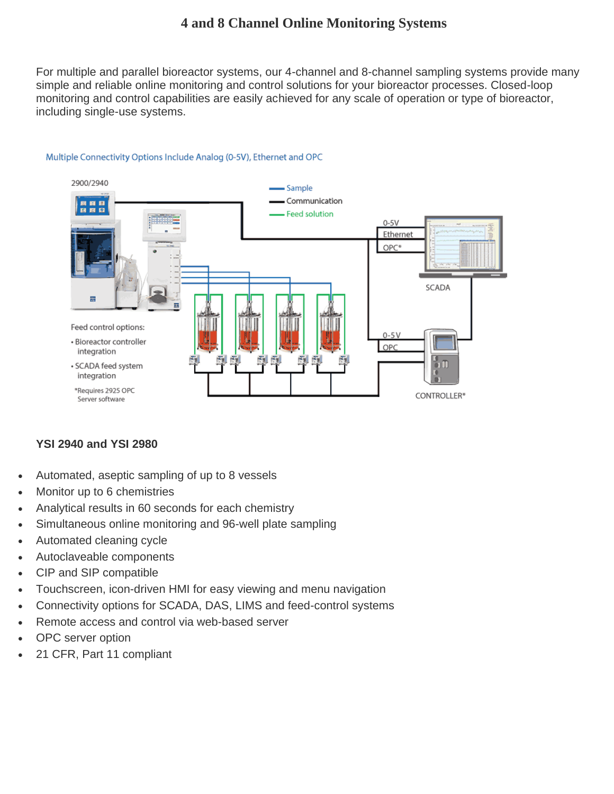## **4 and 8 Channel Online Monitoring Systems**

For multiple and parallel bioreactor systems, our 4-channel and 8-channel sampling systems provide many simple and reliable online monitoring and control solutions for your bioreactor processes. Closed-loop monitoring and control capabilities are easily achieved for any scale of operation or type of bioreactor, including single-use systems.



## Multiple Connectivity Options Include Analog (0-5V), Ethernet and OPC

## **YSI 2940 and YSI 2980**

- Automated, aseptic sampling of up to 8 vessels
- Monitor up to 6 chemistries
- Analytical results in 60 seconds for each chemistry
- Simultaneous online monitoring and 96-well plate sampling
- Automated cleaning cycle
- Autoclaveable components
- CIP and SIP compatible
- Touchscreen, icon-driven HMI for easy viewing and menu navigation
- Connectivity options for SCADA, DAS, LIMS and feed-control systems
- Remote access and control via web-based server
- OPC server option
- 21 CFR, Part 11 compliant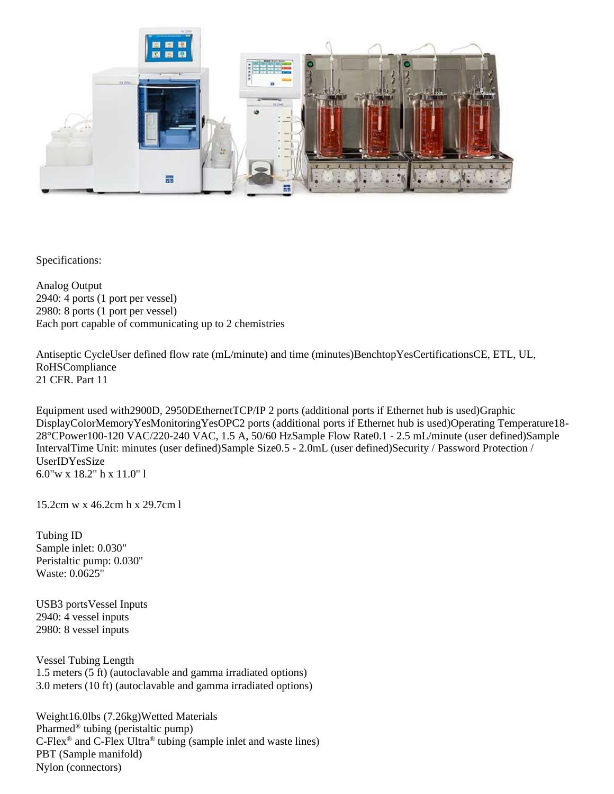

Specifications:

Analog Output 2940: 4 ports (1 port per vessel) 2980: 8 ports (1 port per vessel) Each port capable of communicating up to 2 chemistries

Antiseptic CycleUser defined flow rate (mL/minute) and time (minutes)BenchtopYesCertificationsCE, ETL, UL, RoHSCompliance 21 CFR. Part 11

Equipment used with2900D, 2950DEthernetTCP/IP 2 ports (additional ports if Ethernet hub is used)Graphic DisplayColorMemoryYesMonitoringYesOPC2 ports (additional ports if Ethernet hub is used)Operating Temperature18- 28°CPower100-120 VAC/220-240 VAC, 1.5 A, 50/60 HzSample Flow Rate0.1 - 2.5 mL/minute (user defined)Sample IntervalTime Unit: minutes (user defined)Sample Size0.5 - 2.0mL (user defined)Security / Password Protection / UserIDYesSize 6.0"w x 18.2" h x 11.0" l

15.2cm w x 46.2cm h x 29.7cm l

Tubing ID Sample inlet: 0.030" Peristaltic pump: 0.030" Waste: 0.0625"

USB3 portsVessel Inputs 2940: 4 vessel inputs 2980: 8 vessel inputs

Vessel Tubing Length 1.5 meters (5 ft) (autoclavable and gamma irradiated options) 3.0 meters (10 ft) (autoclavable and gamma irradiated options)

Weight16.0lbs (7.26kg)Wetted Materials Pharmed® tubing (peristaltic pump) C-Flex® and C-Flex Ultra® tubing (sample inlet and waste lines) PBT (Sample manifold) Nylon (connectors)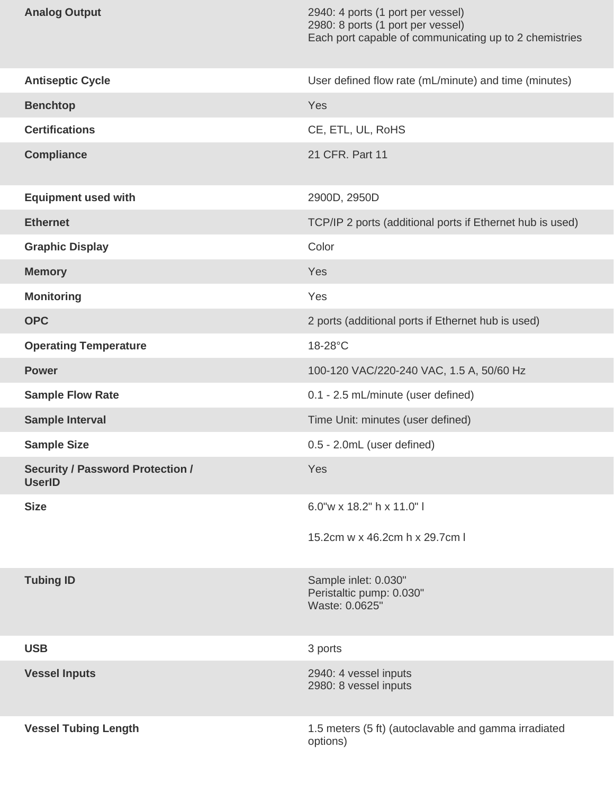| <b>Analog Output</b>                                     | 2940: 4 ports (1 port per vessel)<br>2980: 8 ports (1 port per vessel)<br>Each port capable of communicating up to 2 chemistries |
|----------------------------------------------------------|----------------------------------------------------------------------------------------------------------------------------------|
| <b>Antiseptic Cycle</b>                                  | User defined flow rate (mL/minute) and time (minutes)                                                                            |
| <b>Benchtop</b>                                          | Yes                                                                                                                              |
| <b>Certifications</b>                                    | CE, ETL, UL, RoHS                                                                                                                |
| <b>Compliance</b>                                        | 21 CFR. Part 11                                                                                                                  |
| <b>Equipment used with</b>                               | 2900D, 2950D                                                                                                                     |
| <b>Ethernet</b>                                          | TCP/IP 2 ports (additional ports if Ethernet hub is used)                                                                        |
| <b>Graphic Display</b>                                   | Color                                                                                                                            |
| <b>Memory</b>                                            | <b>Yes</b>                                                                                                                       |
| <b>Monitoring</b>                                        | Yes                                                                                                                              |
| <b>OPC</b>                                               | 2 ports (additional ports if Ethernet hub is used)                                                                               |
| <b>Operating Temperature</b>                             | 18-28°C                                                                                                                          |
| <b>Power</b>                                             | 100-120 VAC/220-240 VAC, 1.5 A, 50/60 Hz                                                                                         |
| <b>Sample Flow Rate</b>                                  | 0.1 - 2.5 mL/minute (user defined)                                                                                               |
| <b>Sample Interval</b>                                   | Time Unit: minutes (user defined)                                                                                                |
| <b>Sample Size</b>                                       | 0.5 - 2.0mL (user defined)                                                                                                       |
| <b>Security / Password Protection /</b><br><b>UserID</b> | Yes                                                                                                                              |
| <b>Size</b>                                              | 6.0"w x 18.2" h x 11.0"                                                                                                          |
|                                                          | 15.2cm w x 46.2cm h x 29.7cm I                                                                                                   |
| <b>Tubing ID</b>                                         | Sample inlet: 0.030"<br>Peristaltic pump: 0.030"<br>Waste: 0.0625"                                                               |
| <b>USB</b>                                               | 3 ports                                                                                                                          |
| <b>Vessel Inputs</b>                                     | 2940: 4 vessel inputs<br>2980: 8 vessel inputs                                                                                   |
| <b>Vessel Tubing Length</b>                              | 1.5 meters (5 ft) (autoclavable and gamma irradiated<br>options)                                                                 |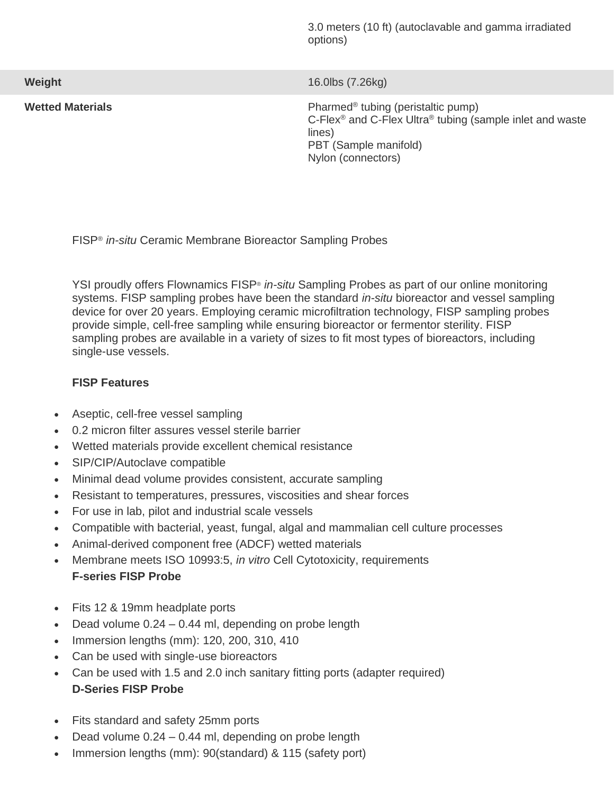3.0 meters (10 ft) (autoclavable and gamma irradiated options)

**Wetted Materials** 

**Weight** 16.0lbs (7.26kg)

Pharmed<sup>®</sup> tubing (peristaltic pump) C-Flex<sup>®</sup> and C-Flex Ultra<sup>®</sup> tubing (sample inlet and waste lines) PBT (Sample manifold) Nylon (connectors)

FISP® *in-situ* Ceramic Membrane Bioreactor Sampling Probes

YSI proudly offers Flownamics FISP® *in-situ* Sampling Probes as part of our online monitoring systems. FISP sampling probes have been the standard *in-situ* bioreactor and vessel sampling device for over 20 years. Employing ceramic microfiltration technology, FISP sampling probes provide simple, cell-free sampling while ensuring bioreactor or fermentor sterility. FISP sampling probes are available in a variety of sizes to fit most types of bioreactors, including single-use vessels.

## **FISP Features**

- Aseptic, cell-free vessel sampling
- 0.2 micron filter assures vessel sterile barrier
- Wetted materials provide excellent chemical resistance
- SIP/CIP/Autoclave compatible
- Minimal dead volume provides consistent, accurate sampling
- Resistant to temperatures, pressures, viscosities and shear forces
- For use in lab, pilot and industrial scale vessels
- Compatible with bacterial, yeast, fungal, algal and mammalian cell culture processes
- Animal-derived component free (ADCF) wetted materials
- Membrane meets ISO 10993:5, *in vitro* Cell Cytotoxicity, requirements **F-series FISP Probe**
- Fits 12 & 19mm headplate ports
- Dead volume 0.24 0.44 ml, depending on probe length
- Immersion lengths (mm): 120, 200, 310, 410
- Can be used with single-use bioreactors
- Can be used with 1.5 and 2.0 inch sanitary fitting ports (adapter required) **D-Series FISP Probe**
- Fits standard and safety 25mm ports
- Dead volume 0.24 0.44 ml, depending on probe length
- Immersion lengths (mm): 90(standard) & 115 (safety port)